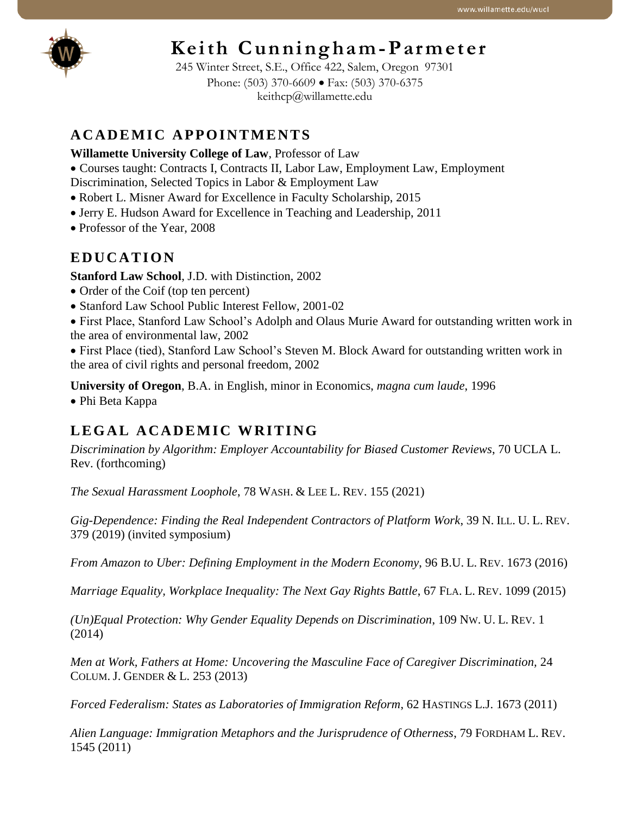

# Keith Cunningham-Parmeter

245 Winter Street, S.E., Office 422, Salem, Oregon 97301 Phone: (503) 370-6609 • Fax: (503) 370-6375 keithcp@willamette.edu

# **A C A D E M I C A P P O I N T ME N T S**

## **Willamette University College of Law**, Professor of Law

• Courses taught: Contracts I, Contracts II, Labor Law, Employment Law, Employment Discrimination, Selected Topics in Labor & Employment Law

- 
- Robert L. Misner Award for Excellence in Faculty Scholarship, 2015
- Jerry E. Hudson Award for Excellence in Teaching and Leadership, 2011
- Professor of the Year, 2008

# **E D U C A T I O N**

**Stanford Law School**, J.D. with Distinction, 2002

- Order of the Coif (top ten percent)
- Stanford Law School Public Interest Fellow, 2001-02
- First Place, Stanford Law School's Adolph and Olaus Murie Award for outstanding written work in the area of environmental law, 2002

• First Place (tied), Stanford Law School's Steven M. Block Award for outstanding written work in the area of civil rights and personal freedom, 2002

**University of Oregon**, B.A. in English, minor in Economics, *magna cum laude*, 1996

• Phi Beta Kappa

# L E GAL A CADEMIC WRITING

*Discrimination by Algorithm: Employer Accountability for Biased Customer Reviews*, 70 UCLA L. Rev. (forthcoming)

*The Sexual Harassment Loophole*, 78 WASH. & LEE L. REV. 155 (2021)

*Gig-Dependence: Finding the Real Independent Contractors of Platform Work*, 39 N. ILL. U. L. REV. 379 (2019) (invited symposium)

*From Amazon to Uber: Defining Employment in the Modern Economy*, 96 B.U. L. REV. 1673 (2016)

*Marriage Equality, Workplace Inequality: The Next Gay Rights Battle*, 67 FLA. L. REV. 1099 (2015)

*(Un)Equal Protection: Why Gender Equality Depends on Discrimination*, 109 NW. U. L. REV. 1 (2014)

*Men at Work, Fathers at Home: Uncovering the Masculine Face of Caregiver Discrimination,* 24 COLUM. J. GENDER & L. 253 (2013)

*Forced Federalism: States as Laboratories of Immigration Reform*, 62 HASTINGS L.J. 1673 (2011)

*Alien Language: Immigration Metaphors and the Jurisprudence of Otherness*, 79 FORDHAM L. REV. 1545 (2011)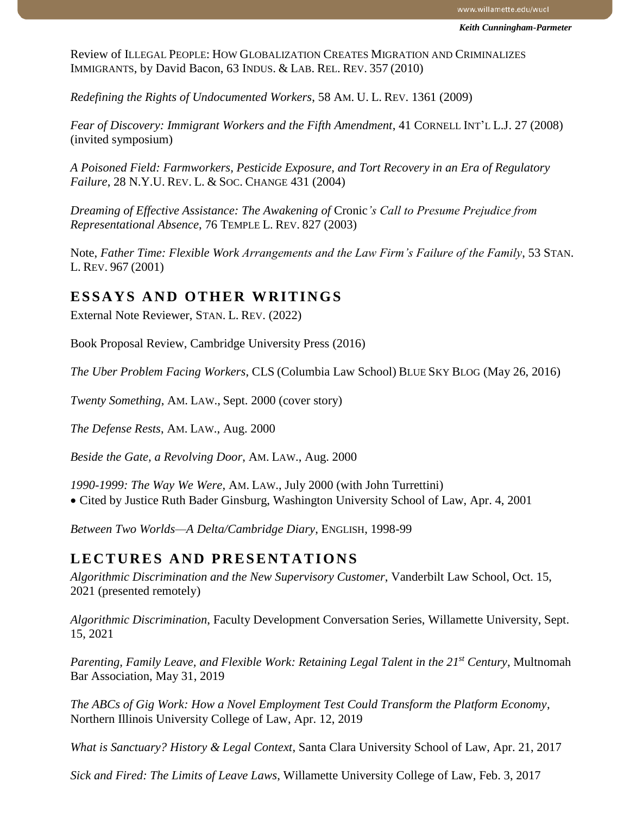Review of ILLEGAL PEOPLE: HOW GLOBALIZATION CREATES MIGRATION AND CRIMINALIZES IMMIGRANTS, by David Bacon, 63 INDUS. & LAB. REL. REV. 357 (2010)

*Redefining the Rights of Undocumented Workers*, 58 AM. U. L. REV. 1361 (2009)

*Fear of Discovery: Immigrant Workers and the Fifth Amendment*, 41 CORNELL INT'L L.J. 27 (2008) (invited symposium)

*A Poisoned Field: Farmworkers, Pesticide Exposure, and Tort Recovery in an Era of Regulatory Failure*, 28 N.Y.U. REV. L. & SOC. CHANGE 431 (2004)

*Dreaming of Effective Assistance: The Awakening of* Cronic*'s Call to Presume Prejudice from Representational Absence*, 76 TEMPLE L. REV. 827 (2003)

Note, *Father Time: Flexible Work Arrangements and the Law Firm's Failure of the Family*, 53 STAN. L. REV. 967 (2001)

#### **ESSAYS AND OTHER WRITINGS**

External Note Reviewer, STAN. L. REV. (2022)

Book Proposal Review, Cambridge University Press (2016)

*The Uber Problem Facing Workers*, CLS (Columbia Law School) BLUE SKY BLOG (May 26, 2016)

*Twenty Something*, AM. LAW., Sept. 2000 (cover story)

*The Defense Rests*, AM. LAW., Aug. 2000

*Beside the Gate, a Revolving Door*, AM. LAW., Aug. 2000

*1990-1999: The Way We Were*, AM. LAW., July 2000 (with John Turrettini) • Cited by Justice Ruth Bader Ginsburg, Washington University School of Law, Apr. 4, 2001

*Between Two Worlds—A Delta/Cambridge Diary*, ENGLISH, 1998-99

#### **L E C T U R E S A ND P R E S E N T A T I O N S**

*Algorithmic Discrimination and the New Supervisory Customer*, Vanderbilt Law School, Oct. 15, 2021 (presented remotely)

*Algorithmic Discrimination*, Faculty Development Conversation Series, Willamette University, Sept. 15, 2021

*Parenting, Family Leave, and Flexible Work: Retaining Legal Talent in the 21st Century*, Multnomah Bar Association, May 31, 2019

*The ABCs of Gig Work: How a Novel Employment Test Could Transform the Platform Economy*, Northern Illinois University College of Law, Apr. 12, 2019

*What is Sanctuary? History & Legal Context*, Santa Clara University School of Law, Apr. 21, 2017

*Sick and Fired: The Limits of Leave Laws*, Willamette University College of Law, Feb. 3, 2017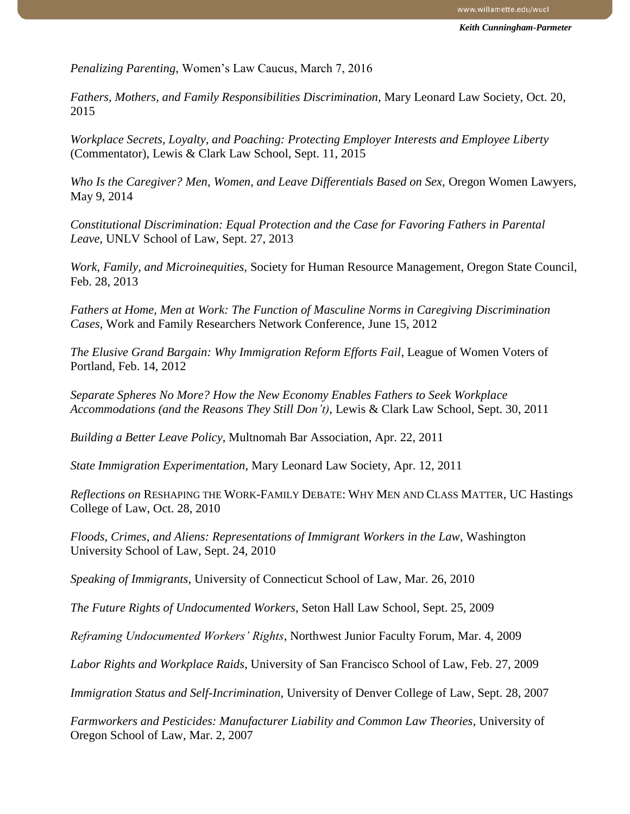*Penalizing Parenting*, Women's Law Caucus, March 7, 2016

*Fathers, Mothers, and Family Responsibilities Discrimination,* Mary Leonard Law Society, Oct. 20, 2015

*Workplace Secrets, Loyalty, and Poaching: Protecting Employer Interests and Employee Liberty* (Commentator), Lewis & Clark Law School, Sept. 11, 2015

*Who Is the Caregiver? Men, Women, and Leave Differentials Based on Sex,* Oregon Women Lawyers, May 9, 2014

*Constitutional Discrimination: Equal Protection and the Case for Favoring Fathers in Parental Leave*, UNLV School of Law, Sept. 27, 2013

*Work, Family, and Microinequities,* Society for Human Resource Management, Oregon State Council, Feb. 28, 2013

*Fathers at Home, Men at Work: The Function of Masculine Norms in Caregiving Discrimination Cases*, Work and Family Researchers Network Conference, June 15, 2012

*The Elusive Grand Bargain: Why Immigration Reform Efforts Fail*, League of Women Voters of Portland, Feb. 14, 2012

*Separate Spheres No More? How the New Economy Enables Fathers to Seek Workplace Accommodations (and the Reasons They Still Don't)*, Lewis & Clark Law School, Sept. 30, 2011

*Building a Better Leave Policy*, Multnomah Bar Association, Apr. 22, 2011

*State Immigration Experimentation*, Mary Leonard Law Society, Apr. 12, 2011

*Reflections on* RESHAPING THE WORK-FAMILY DEBATE: WHY MEN AND CLASS MATTER, UC Hastings College of Law, Oct. 28, 2010

*Floods, Crimes, and Aliens: Representations of Immigrant Workers in the Law*, Washington University School of Law, Sept. 24, 2010

*Speaking of Immigrants*, University of Connecticut School of Law, Mar. 26, 2010

*The Future Rights of Undocumented Workers*, Seton Hall Law School, Sept. 25, 2009

*Reframing Undocumented Workers' Rights*, Northwest Junior Faculty Forum, Mar. 4, 2009

*Labor Rights and Workplace Raids*, University of San Francisco School of Law, Feb. 27, 2009

*Immigration Status and Self-Incrimination*, University of Denver College of Law, Sept. 28, 2007

*Farmworkers and Pesticides: Manufacturer Liability and Common Law Theories*, University of Oregon School of Law, Mar. 2, 2007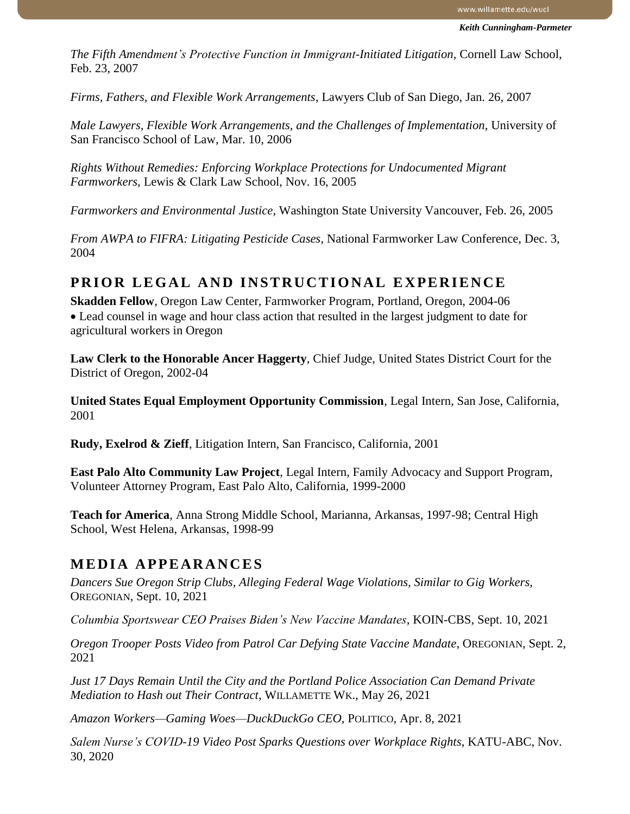*The Fifth Amendment's Protective Function in Immigrant-Initiated Litigation*, Cornell Law School, Feb. 23, 2007

*Firms, Fathers, and Flexible Work Arrangements*, Lawyers Club of San Diego, Jan. 26, 2007

*Male Lawyers, Flexible Work Arrangements, and the Challenges of Implementation*, University of San Francisco School of Law, Mar. 10, 2006

*Rights Without Remedies: Enforcing Workplace Protections for Undocumented Migrant Farmworkers*, Lewis & Clark Law School, Nov. 16, 2005

*Farmworkers and Environmental Justice*, Washington State University Vancouver, Feb. 26, 2005

*From AWPA to FIFRA: Litigating Pesticide Cases*, National Farmworker Law Conference, Dec. 3, 2004

# **PRIOR LEGAL AND INSTRUCTIONAL EXPERIENCE**

**Skadden Fellow**, Oregon Law Center, Farmworker Program, Portland, Oregon, 2004-06 • Lead counsel in wage and hour class action that resulted in the largest judgment to date for agricultural workers in Oregon

**Law Clerk to the Honorable Ancer Haggerty**, Chief Judge, United States District Court for the District of Oregon, 2002-04

**United States Equal Employment Opportunity Commission**, Legal Intern, San Jose, California, 2001

**Rudy, Exelrod & Zieff**, Litigation Intern, San Francisco, California, 2001

**East Palo Alto Community Law Project**, Legal Intern, Family Advocacy and Support Program, Volunteer Attorney Program, East Palo Alto, California, 1999-2000

**Teach for America**, Anna Strong Middle School, Marianna, Arkansas, 1997-98; Central High School, West Helena, Arkansas, 1998-99

## **M E D I A A P P E AR A N C E S**

*Dancers Sue Oregon Strip Clubs, Alleging Federal Wage Violations, Similar to Gig Workers*, OREGONIAN, Sept. 10, 2021

*Columbia Sportswear CEO Praises Biden's New Vaccine Mandates*, KOIN-CBS, Sept. 10, 2021

*Oregon Trooper Posts Video from Patrol Car Defying State Vaccine Mandate*, OREGONIAN, Sept. 2, 2021

*Just 17 Days Remain Until the City and the Portland Police Association Can Demand Private Mediation to Hash out Their Contract*, WILLAMETTE WK., May 26, 2021

*Amazon Workers—Gaming Woes—DuckDuckGo CEO*, POLITICO, Apr. 8, 2021

*Salem Nurse's COVID-19 Video Post Sparks Questions over Workplace Rights*, KATU-ABC, Nov. 30, 2020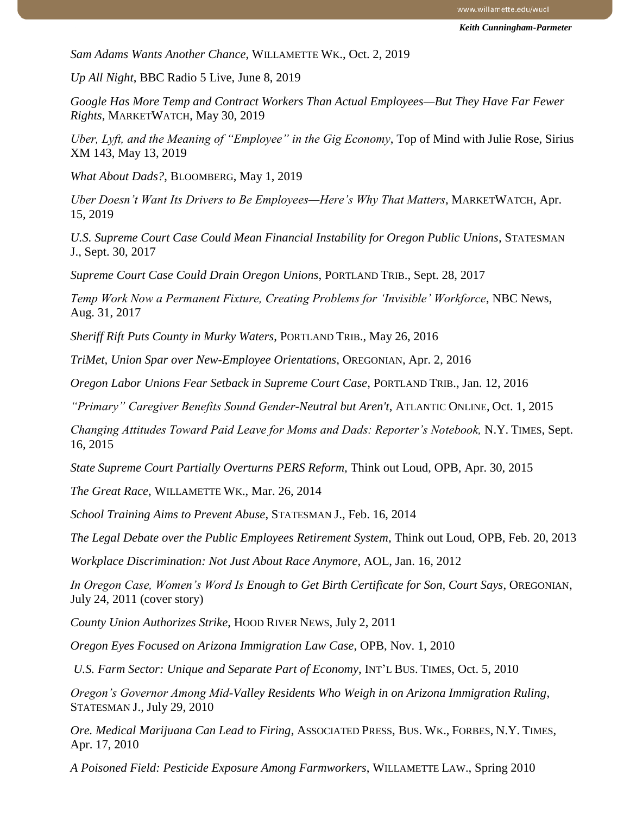*Sam Adams Wants Another Chance*, WILLAMETTE WK., Oct. 2, 2019

*Up All Night*, BBC Radio 5 Live, June 8, 2019

*Google Has More Temp and Contract Workers Than Actual Employees—But They Have Far Fewer Rights*, MARKETWATCH, May 30, 2019

*Uber, Lyft, and the Meaning of "Employee" in the Gig Economy*, Top of Mind with Julie Rose, Sirius XM 143, May 13, 2019

*What About Dads?*, BLOOMBERG, May 1, 2019

*Uber Doesn't Want Its Drivers to Be Employees—Here's Why That Matters*, MARKETWATCH, Apr. 15, 2019

*U.S. Supreme Court Case Could Mean Financial Instability for Oregon Public Unions*, STATESMAN J., Sept. 30, 2017

*Supreme Court Case Could Drain Oregon Unions*, PORTLAND TRIB., Sept. 28, 2017

*Temp Work Now a Permanent Fixture, Creating Problems for 'Invisible' Workforce*, NBC News, Aug. 31, 2017

*Sheriff Rift Puts County in Murky Waters*, PORTLAND TRIB., May 26, 2016

*TriMet, Union Spar over New-Employee Orientations*, OREGONIAN, Apr. 2, 2016

*Oregon Labor Unions Fear Setback in Supreme Court Case*, PORTLAND TRIB., Jan. 12, 2016

*"Primary" Caregiver Benefits Sound Gender-Neutral but Aren't*, ATLANTIC ONLINE, Oct. 1, 2015

*Changing Attitudes Toward Paid Leave for Moms and Dads: Reporter's Notebook,* N.Y. TIMES, Sept. 16, 2015

*State Supreme Court Partially Overturns PERS Reform,* Think out Loud, OPB, Apr. 30, 2015

*The Great Race*, WILLAMETTE WK., Mar. 26, 2014

*School Training Aims to Prevent Abuse*, STATESMAN J., Feb. 16, 2014

*The Legal Debate over the Public Employees Retirement System*, Think out Loud, OPB, Feb. 20, 2013

*Workplace Discrimination: Not Just About Race Anymore*, AOL, Jan. 16, 2012

*In Oregon Case, Women's Word Is Enough to Get Birth Certificate for Son, Court Says*, OREGONIAN, July 24, 2011 (cover story)

*County Union Authorizes Strike*, HOOD RIVER NEWS, July 2, 2011

*Oregon Eyes Focused on Arizona Immigration Law Case*, OPB, Nov. 1, 2010

*U.S. Farm Sector: Unique and Separate Part of Economy*, INT'L BUS. TIMES, Oct. 5, 2010

*Oregon's Governor Among Mid-Valley Residents Who Weigh in on Arizona Immigration Ruling*, STATESMAN J., July 29, 2010

*Ore. Medical Marijuana Can Lead to Firing*, ASSOCIATED PRESS, BUS. WK., FORBES, N.Y. TIMES, Apr. 17, 2010

*A Poisoned Field: Pesticide Exposure Among Farmworkers*, WILLAMETTE LAW., Spring 2010